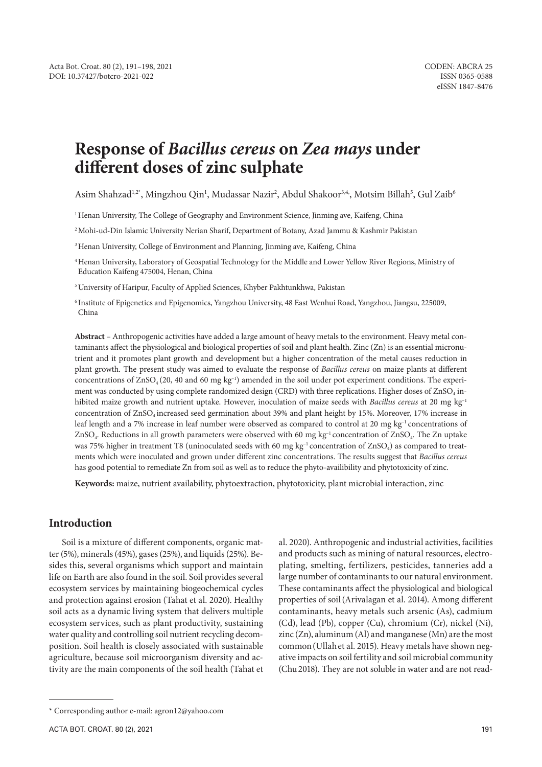# **Response of** *Bacillus cereus* **on** *Zea mays* **under different doses of zinc sulphate**

Asim Shahzad½, Mingzhou Qin½, Mudassar Nazir², Abdul Shakoor¾, Motsim Billah5, Gul Zaib6

1 Henan University, The College of Geography and Environment Science, Jinming ave, Kaifeng, China

2 Mohi-ud-Din Islamic University Nerian Sharif, Department of Botany, Azad Jammu & Kashmir Pakistan

<sup>3</sup> Henan University, College of Environment and Planning, Jinming ave, Kaifeng, China

4 Henan University, Laboratory of Geospatial Technology for the Middle and Lower Yellow River Regions, Ministry of Education Kaifeng 475004, Henan, China

5 University of Haripur, Faculty of Applied Sciences, Khyber Pakhtunkhwa, Pakistan

6 Institute of Epigenetics and Epigenomics, Yangzhou University, 48 East Wenhui Road, Yangzhou, Jiangsu, 225009, China

**Abstract** – Anthropogenic activities have added a large amount of heavy metals to the environment. Heavy metal contaminants affect the physiological and biological properties of soil and plant health. Zinc (Zn) is an essential micronutrient and it promotes plant growth and development but a higher concentration of the metal causes reduction in plant growth. The present study was aimed to evaluate the response of *Bacillus cereus* on maize plants at different concentrations of  $ZnSO_4$  (20, 40 and 60 mg kg<sup>-1</sup>) amended in the soil under pot experiment conditions. The experiment was conducted by using complete randomized design (CRD) with three replications. Higher doses of ZnSO<sub>4</sub> inhibited maize growth and nutrient uptake. However, inoculation of maize seeds with *Bacillus cereus* at 20 mg kg–1 concentration of ZnSO4 increased seed germination about 39% and plant height by 15%. Moreover, 17% increase in leaf length and a 7% increase in leaf number were observed as compared to control at 20 mg kg–1 concentrations of ZnSO4. Reductions in all growth parameters were observed with 60 mg kg–1 concentration of ZnSO4. The Zn uptake was 75% higher in treatment T8 (uninoculated seeds with 60 mg kg<sup>-1</sup> concentration of  $ZnSO<sub>4</sub>$ ) as compared to treatments which were inoculated and grown under different zinc concentrations. The results suggest that *Bacillus cereus* has good potential to remediate Zn from soil as well as to reduce the phyto-availibility and phytotoxicity of zinc.

**Keywords:** maize, nutrient availability, phytoextraction, phytotoxicity, plant microbial interaction, zinc

# **Introduction**

Soil is a mixture of different components, organic matter (5%), minerals (45%), gases (25%), and liquids (25%). Besides this, several organisms which support and maintain life on Earth are also found in the soil. Soil provides several ecosystem services by maintaining biogeochemical cycles and protection against erosion (Tahat et al. 2020). Healthy soil acts as a dynamic living system that delivers multiple ecosystem services, such as plant productivity, sustaining water quality and controlling soil nutrient recycling decomposition. Soil health is closely associated with sustainable agriculture, because soil microorganism diversity and activity are the main components of the soil health (Tahat et al. 2020). Anthropogenic and industrial activities, facilities and products such as mining of natural resources, electroplating, smelting, fertilizers, pesticides, tanneries add a large number of contaminants to our natural environment. These contaminants affect the physiological and biological properties of soil(Arivalagan et al. 2014). Among different contaminants, heavy metals such arsenic (As), cadmium (Cd), lead (Pb), copper (Cu), chromium (Cr), nickel (Ni), zinc  $(Zn)$ , aluminum  $(Al)$  and manganese  $(Mn)$  are the most common(Ullahet al. 2015). Heavy metals have shown negative impacts on soil fertility and soil microbial community (Chu2018). They are not soluble in water and are not read-

<sup>\*</sup> Corresponding author e-mail: agron12@yahoo.com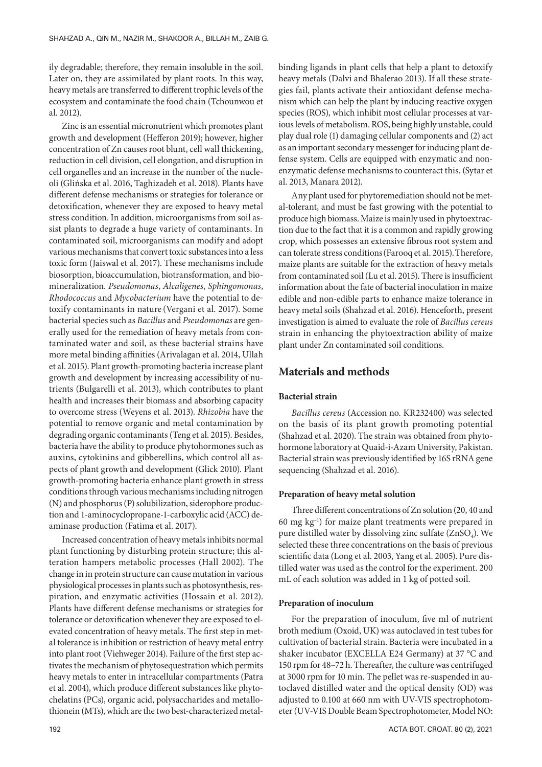ily degradable; therefore, they remain insoluble in the soil. Later on, they are assimilated by plant roots. In this way, heavy metals are transferred to different trophic levels of the ecosystem and contaminate the food chain (Tchounwou et al. 2012).

Zinc is an essential micronutrient which promotes plant growth and development (Hefferon 2019); however, higher concentration of Zn causes root blunt, cell wall thickening, reduction in cell division, cell elongation, and disruption in cell organelles and an increase in the number of the nucleoli (Glińska et al. 2016, Taghizadeh et al. 2018). Plants have different defense mechanisms or strategies for tolerance or detoxification, whenever they are exposed to heavy metal stress condition. In addition, microorganisms from soil assist plants to degrade a huge variety of contaminants. In contaminated soil, microorganisms can modify and adopt various mechanisms that convert toxic substances into a less toxic form (Jaiswal et al. 2017). These mechanisms include biosorption, bioaccumulation, biotransformation, and biomineralization. *Pseudomonas*, *Alcaligenes*, *Sphingomonas*, *Rhodococcus* and *Mycobacterium* have the potential to detoxify contaminants in nature (Vergani et al. 2017). Some bacterial species such as *Bacillus* and *Pseudomonas* are generally used for the remediation of heavy metals from contaminated water and soil, as these bacterial strains have more metal binding affinities (Arivalagan et al. 2014, Ullah et al. 2015). Plant growth-promoting bacteria increase plant growth and development by increasing accessibility of nutrients (Bulgarelli et al. 2013), which contributes to plant health and increases their biomass and absorbing capacity to overcome stress (Weyens et al. 2013). *Rhizobia* have the potential to remove organic and metal contamination by degrading organic contaminants (Teng et al. 2015). Besides, bacteria have the ability to produce phytohormones such as auxins, cytokinins and gibberellins, which control all aspects of plant growth and development (Glick 2010). Plant growth-promoting bacteria enhance plant growth in stress conditions through various mechanisms including nitrogen (N) and phosphorus (P) solubilization, siderophore production and 1-aminocyclopropane-1-carboxylic acid (ACC) deaminase production (Fatima et al. 2017).

Increased concentration of heavy metals inhibits normal plant functioning by disturbing protein structure; this alteration hampers metabolic processes (Hall 2002). The change in in protein structure can cause mutation in various physiological processes in plants such as photosynthesis, respiration, and enzymatic activities (Hossain et al. 2012). Plants have different defense mechanisms or strategies for tolerance or detoxification whenever they are exposed to elevated concentration of heavy metals. The first step in metal tolerance is inhibition or restriction of heavy metal entry into plant root (Viehweger 2014). Failure of the first step activates the mechanism of phytosequestration which permits heavy metals to enter in intracellular compartments (Patra et al. 2004), which produce different substances like phytochelatins (PCs), organic acid, polysaccharides and metallothionein (MTs), which are the two best-characterized metalbinding ligands in plant cells that help a plant to detoxify heavy metals (Dalvi and Bhalerao 2013). If all these strategies fail, plants activate their antioxidant defense mechanism which can help the plant by inducing reactive oxygen species (ROS), which inhibit most cellular processes at various levels of metabolism. ROS, being highly unstable, could play dual role (1) damaging cellular components and (2) act as an important secondary messenger for inducing plant defense system. Cells are equipped with enzymatic and nonenzymatic defense mechanisms to counteract this. (Sytar et al. 2013, Manara 2012).

Any plant used for phytoremediation should not be metal-tolerant, and must be fast growing with the potential to produce high biomass. Maize is mainly used in phytoextraction due to the fact that it is a common and rapidly growing crop, which possesses an extensive fibrous root system and can tolerate stress conditions(Farooq et al. 2015).Therefore, maize plants are suitable for the extraction of heavy metals from contaminated soil (Lu et al. 2015). There is insufficient information about the fate of bacterial inoculation in maize edible and non-edible parts to enhance maize tolerance in heavy metal soils (Shahzad et al. 2016). Henceforth, present investigation is aimed to evaluate the role of *Bacillus cereus* strain in enhancing the phytoextraction ability of maize plant under Zn contaminated soil conditions.

## **Materials and methods**

## **Bacterial strain**

*Bacillus cereus* (Accession no. KR232400) was selected on the basis of its plant growth promoting potential (Shahzad et al. 2020). The strain was obtained from phytohormone laboratory at Quaid-i-Azam University, Pakistan. Bacterial strain was previously identified by 16S rRNA gene sequencing (Shahzad et al. 2016).

## **Preparation of heavy metal solution**

Three different concentrations of Zn solution (20, 40 and 60 mg kg–1) for maize plant treatments were prepared in pure distilled water by dissolving zinc sulfate  $(ZnSO<sub>4</sub>)$ . We selected these three concentrations on the basis of previous scientific data (Long et al. 2003, Yang et al. 2005). Pure distilled water was used as the control for the experiment. 200 mL of each solution was added in 1 kg of potted soil.

#### **Preparation of inoculum**

For the preparation of inoculum, five ml of nutrient broth medium (Oxoid, UK) was autoclaved in test tubes for cultivation of bacterial strain. Bacteria were incubated in a shaker incubator (EXCELLA E24 Germany) at 37 °C and 150 rpm for 48–72 h. Thereafter, the culture was centrifuged at 3000 rpm for 10 min. The pellet was re-suspended in autoclaved distilled water and the optical density (OD) was adjusted to 0.100 at 660 nm with UV-VIS spectrophotometer (UV-VIS Double Beam Spectrophotometer, Model NO: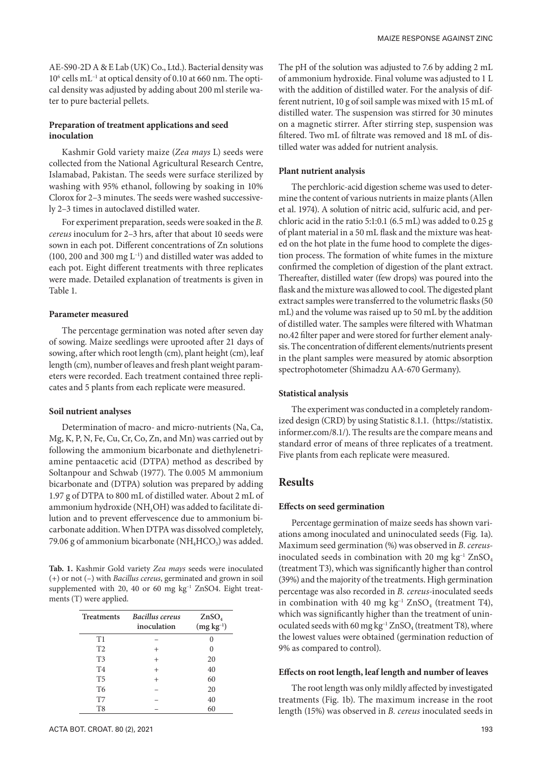AE-S90-2D A & E Lab (UK) Co., Ltd.). Bacterial density was 10<sup>6</sup> cells mL<sup>-1</sup> at optical density of 0.10 at 660 nm. The optical density was adjusted by adding about 200 ml sterile water to pure bacterial pellets.

## **Preparation of treatment applications and seed inoculation**

Kashmir Gold variety maize (*Zea mays* L) seeds were collected from the National Agricultural Research Centre, Islamabad, Pakistan. The seeds were surface sterilized by washing with 95% ethanol, following by soaking in 10% Clorox for 2–3 minutes. The seeds were washed successively 2–3 times in autoclaved distilled water.

For experiment preparation, seeds were soaked in the *B. cereus* inoculum for 2–3 hrs, after that about 10 seeds were sown in each pot. Different concentrations of Zn solutions (100, 200 and 300 mg  $L^{-1}$ ) and distilled water was added to each pot. Eight different treatments with three replicates were made. Detailed explanation of treatments is given in Table 1.

## **Parameter measured**

The percentage germination was noted after seven day of sowing. Maize seedlings were uprooted after 21 days of sowing, after which root length (cm), plant height (cm), leaf length (cm), number of leaves and fresh plant weight parameters were recorded. Each treatment contained three replicates and 5 plants from each replicate were measured.

#### **Soil nutrient analyses**

Determination of macro- and micro-nutrients (Na, Ca, Mg, K, P, N, Fe, Cu, Cr, Co, Zn, and Mn) was carried out by following the ammonium bicarbonate and diethylenetriamine pentaacetic acid (DTPA) method as described by Soltanpour and Schwab (1977). The 0.005 M ammonium bicarbonate and (DTPA) solution was prepared by adding 1.97 g of DTPA to 800 mL of distilled water. About 2 mL of ammonium hydroxide (NH<sub>4</sub>OH) was added to facilitate dilution and to prevent effervescence due to ammonium bicarbonate addition. When DTPA was dissolved completely, 79.06 g of ammonium bicarbonate  $(NH<sub>4</sub>HCO<sub>3</sub>)$  was added.

**Tab. 1.** Kashmir Gold variety *Zea mays* seeds were inoculated (+) or not (–) with *Bacillus cereus*, germinated and grown in soil supplemented with 20, 40 or 60 mg  $kg^{-1}$  ZnSO4. Eight treatments (T) were applied.

| Treatments     | Bacillus cereus<br>inoculation | ZnSO <sub>4</sub><br>$(mg kg-1)$ |
|----------------|--------------------------------|----------------------------------|
| T1             |                                |                                  |
| T <sub>2</sub> | $^{+}$                         |                                  |
| T <sub>3</sub> | $^{+}$                         | 20                               |
| <b>T4</b>      | $^{+}$                         | 40                               |
| T <sub>5</sub> | $^{+}$                         | 60                               |
| T <sub>6</sub> |                                | 20                               |
| T7             |                                | 40                               |
| T8             |                                | 60                               |

The pH of the solution was adjusted to 7.6 by adding 2 mL of ammonium hydroxide. Final volume was adjusted to 1 L with the addition of distilled water. For the analysis of different nutrient, 10 g of soil sample was mixed with 15 mL of distilled water. The suspension was stirred for 30 minutes on a magnetic stirrer. After stirring step, suspension was filtered. Two mL of filtrate was removed and 18 mL of distilled water was added for nutrient analysis.

#### **Plant nutrient analysis**

The perchloric-acid digestion scheme was used to determine the content of various nutrients in maize plants (Allen et al. 1974). A solution of nitric acid, sulfuric acid, and perchloric acid in the ratio 5:1:0.1 (6.5 mL) was added to 0.25 g of plant material in a 50 mL flask and the mixture was heated on the hot plate in the fume hood to complete the digestion process. The formation of white fumes in the mixture confirmed the completion of digestion of the plant extract. Thereafter, distilled water (few drops) was poured into the flask and the mixture was allowed to cool. The digested plant extract samples were transferred to the volumetric flasks (50 mL) and the volume was raised up to 50 mL by the addition of distilled water. The samples were filtered with Whatman no.42 filter paper and were stored for further element analysis. The concentration of different elements/nutrients present in the plant samples were measured by atomic absorption spectrophotometer (Shimadzu AA-670 Germany).

#### **Statistical analysis**

The experiment was conducted in a completely randomized design (CRD) by using Statistic 8.1.1. (https://statistix. informer.com/8.1/). The results are the compare means and standard error of means of three replicates of a treatment. Five plants from each replicate were measured.

# **Results**

#### **Effects on seed germination**

Percentage germination of maize seeds has shown variations among inoculated and uninoculated seeds (Fig. 1a). Maximum seed germination (%) was observed in *B. cereus*inoculated seeds in combination with 20 mg  $kg^{-1} ZnSO_4$ (treatment T3), which was significantly higher than control (39%) and the majority of the treatments. High germination percentage was also recorded in *B. cereus-*inoculated seeds in combination with 40 mg  $kg^{-1}$  ZnSO<sub>4</sub> (treatment T4), which was significantly higher than the treatment of uninoculated seeds with 60 mg kg<sup>-1</sup> ZnSO<sub>4</sub> (treatment T8), where the lowest values were obtained (germination reduction of 9% as compared to control).

## **Effects on root length, leaf length and number of leaves**

The root length was only mildly affected by investigated treatments (Fig. 1b). The maximum increase in the root length (15%) was observed in *B. cereus* inoculated seeds in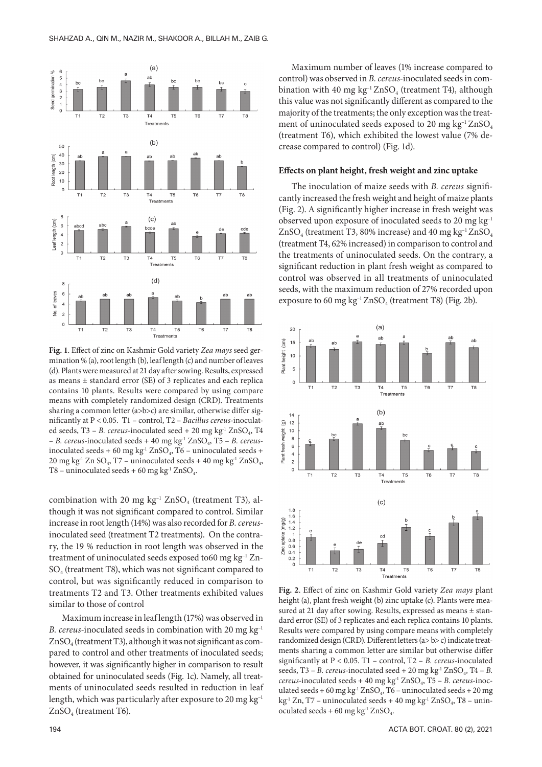

**Fig. 1**. Effect of zinc on Kashmir Gold variety *Zea mays* seed germination % (a), root length (b), leaf length (c) and number of leaves (d). Plants were measured at 21 day after sowing. Results, expressed as means ± standard error (SE) of 3 replicates and each replica contains 10 plants. Results were compared by using compare means with completely randomized design (CRD). Treatments sharing a common letter (a>b>c) are similar, otherwise differ significantly at P < 0.05. T1 – control, T2 – *Bacillus cereus-*inoculated seeds, T3 – *B. cereus*-inoculated seed + 20 mg kg<sup>-1</sup> ZnSO<sub>4</sub>, T4 – *B. cereus-*inoculated seeds + 40 mg kg-1 ZnSO4, T5 – *B. cereus*inoculated seeds + 60 mg kg<sup>-1</sup> ZnSO<sub>4</sub>, T6 – uninoculated seeds + 20 mg kg<sup>-1</sup> Zn SO<sub>4</sub>, T7 – uninoculated seeds + 40 mg kg<sup>-1</sup> ZnSO<sub>4</sub>, T8 – uninoculated seeds + 60 mg kg<sup>-1</sup> ZnSO<sub>4</sub>.

combination with 20 mg  $kg^{-1}$  ZnSO<sub>4</sub> (treatment T3), although it was not significant compared to control. Similar increase in root length (14%) was also recorded for *B. cereus*inoculated seed (treatment T2 treatments). On the contrary, the 19 % reduction in root length was observed in the treatment of uninoculated seeds exposed to60 mg kg–1 Zn- $SO<sub>4</sub>$  (treatment T8), which was not significant compared to control, but was significantly reduced in comparison to treatments T2 and T3. Other treatments exhibited values similar to those of control

Maximum increase in leaf length (17%) was observed in *B. cereus-*inoculated seeds in combination with 20 mg kg–1  $ZnSO<sub>4</sub>$  (treatment T3), although it was not significant as compared to control and other treatments of inoculated seeds; however, it was significantly higher in comparison to result obtained for uninoculated seeds (Fig. 1c). Namely, all treatments of uninoculated seeds resulted in reduction in leaf length, which was particularly after exposure to 20 mg  $kg^{-1}$ ZnSO<sub>4</sub> (treatment T6).

Maximum number of leaves (1% increase compared to control) was observed in *B. cereus-*inoculated seedsin combination with 40 mg kg<sup>-1</sup> ZnSO<sub>4</sub> (treatment T4), although this value was not significantly different as compared to the majority of the treatments; the only exception was the treatment of uninoculated seeds exposed to 20 mg kg<sup>-1</sup> ZnSO<sub>4</sub> (treatment T6), which exhibited the lowest value (7% decrease compared to control) (Fig. 1d).

#### **Effects on plant height, fresh weight and zinc uptake**

The inoculation of maize seeds with *B. cereus* significantly increased the fresh weight and height of maize plants (Fig. 2). A significantly higher increase in fresh weight was observed upon exposure of inoculated seeds to 20 mg kg–1  $ZnSO<sub>4</sub>$  (treatment T3, 80% increase) and 40 mg kg<sup>-1</sup> $ZnSO<sub>4</sub>$ (treatment T4, 62% increased) in comparison to control and the treatments of uninoculated seeds. On the contrary, a significant reduction in plant fresh weight as compared to control was observed in all treatments of uninoculated seeds, with the maximum reduction of 27% recorded upon exposure to 60 mg kg<sup>-1</sup> ZnSO<sub>4</sub> (treatment T8) (Fig. 2b).



**Fig. 2**. Effect of zinc on Kashmir Gold variety *Zea mays* plant height (a), plant fresh weight (b) zinc uptake (c). Plants were measured at 21 day after sowing. Results, expressed as means ± standard error (SE) of 3 replicates and each replica contains 10 plants. Results were compared by using compare means with completely randomized design (CRD). Different letters (a> b> c) indicate treatments sharing a common letter are similar but otherwise differ significantly at P < 0.05. T1 – control, T2 – *B. cereus-*inoculated seeds, T3 – *B. cereus*-inoculated seed + 20 mg kg<sup>-1</sup> ZnSO<sub>4</sub>, T4 – *B. cereus-*inoculated seeds + 40 mg kg-1 ZnSO4, T5 – *B. cereus-*inoculated seeds + 60 mg kg<sup>-1</sup> ZnSO<sub>4</sub>, T6 – uninoculated seeds + 20 mg kg<sup>-1</sup> Zn, T7 – uninoculated seeds + 40 mg kg<sup>-1</sup> ZnSO<sub>4</sub>, T8 – uninoculated seeds + 60 mg kg<sup>-1</sup> ZnSO<sub>4</sub>.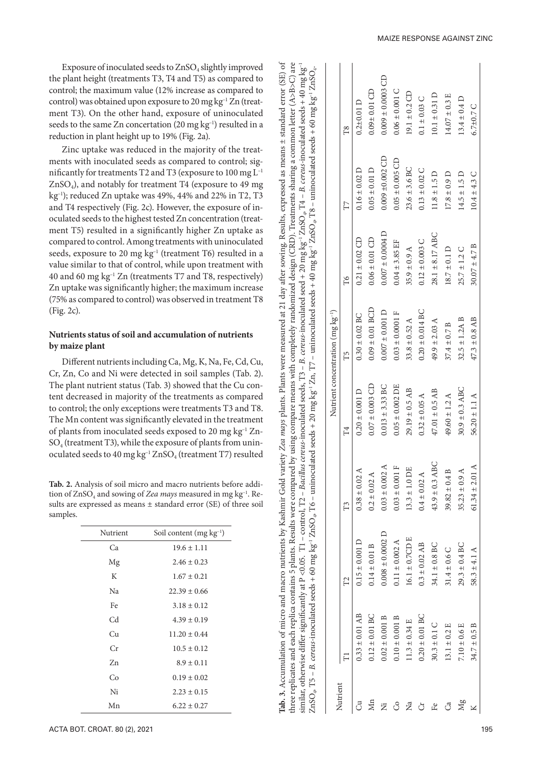Exposure of inoculated seeds to ZnSO 4 slightly improved the plant height (treatments T3, T4 and T5) as compared to control; the maximum value (12% increase as compared to control) was obtained upon exposure to 20 mg kg–1 Zn (treat ment T3). On the other hand, exposure of uninoculated seeds to the same Zn concertation (20 mg kg<sup>-1</sup>) resulted in a reduction in plant height up to 19% (Fig. 2a).

Zinc uptake was reduced in the majority of the treat ments with inoculated seeds as compared to control; sig nificantly for treatments T2 and T3 (exposure to 100 mg L–1 ZnSO 4), and notably for treatment T4 (exposure to 49 mg kg–1); reduced Zn uptake was 49%, 44% and 22% in T2, T3 and T4 respectively (Fig. 2c). However, the exposure of in oculated seeds to the highest tested Zn concentration (treat ment T5) resulted in a significantly higher Zn uptake as compared to control. Among treatments with uninoculated seeds, exposure to 20 mg kg<sup>-1</sup> (treatment T6) resulted in a value similar to that of control, while upon treatment with 40 and 60 mg kg–1 Zn (treatments T7 and T8, respectively) Zn uptake was significantly higher; the maximum increase (75% as compared to control) was observed in treatment T8 (Fig. 2c).

# **Nutrients status of soil and accumulation of nutrients by maize plant**

Different nutrients including Ca, Mg, K, Na, Fe, Cd, Cu, Cr, Zn, Co and Ni were detected in soil samples (Tab. 2). The plant nutrient status (Tab. 3) showed that the Cu con tent decreased in majority of the treatments as compared to control; the only exceptions were treatments T3 and T8. The Mn content was significantly elevated in the treatment of plants from inoculated seeds exposed to 20 mg kg–1 Zn -  $\mathrm{SO}_4$  (treatment T3), while the exposure of plants from uninoculated seeds to 40 mg  $kg^{-1} ZnSO_4$  (treatment T7) resulted

Tab. 2. Analysis of soil micro and macro nutrients before addition of ZnSO 4 and sowing of *Zea mays* measured in mg kg–1. Re sults are expressed as means ± standard error (SE) of three soil samples.

| Nutrient | Soil content $(mg kg-1)$ |
|----------|--------------------------|
| Ca       | $19.6 \pm 1.11$          |
| Mg       | $2.46 \pm 0.23$          |
| K        | $1.67 \pm 0.21$          |
| Na       | $22.39 \pm 0.66$         |
| Fe       | $3.18 \pm 0.12$          |
| Cd       | $4.39 \pm 0.19$          |
| Cи       | $11.20 \pm 0.44$         |
| Сr       | $10.5 \pm 0.12$          |
| 7n       | $8.9 \pm 0.11$           |
| Co       | $0.19 \pm 0.02$          |
| Ni       | $2.23 \pm 0.15$          |
| Mn       | $6.22 \pm 0.27$          |

|                |                    |                      |                    |                           | Nutrient concentration $(mg \, kg^{-1})$ |                      |                      |                       |
|----------------|--------------------|----------------------|--------------------|---------------------------|------------------------------------------|----------------------|----------------------|-----------------------|
| Nutrient       |                    | $\mathbb{Z}$         | $\Gamma$ 3         | $^{14}$                   | $\Gamma$ 5                               | F6                   | FT                   | $\mathbb{R}^2$        |
|                | $0.33 \pm 0.01$ AB | $0.15 \pm 0.001$ D   | $0.38 \pm 0.02$ A  | $0.20 \pm 0.001$ D        | $0.30 \pm 0.02$ BC                       | $0.21 \pm 0.02$ CD   | $0.16 \pm 0.02$ D    | $0.2 + 0.01$ D        |
| $\mathbb{M}$ n | $0.12 \pm 0.01$ BC | $0.14 \pm 0.01$ B    | $0.2 \pm 0.02$ A   | $0.07 \pm 0.003$ CD       | $0.09 \pm 0.01$ BCD                      | $0.06 \pm 0.01$ CD   | $0.05 \pm 0.01$ D    | $0.09 \pm 0.01$ CD    |
| Ż              | $0.02 \pm 0.001 B$ | $0.008 \pm 0.0002$ D | $0.03 \pm 0.002$ A | $0.013 \pm 3.33$ BC       | $0.007 \pm 0.001$ D                      | $0.007 \pm 0.0004$ D | $0.009 \pm 0.002$ CD | $0.009 \pm 0.0003$ CD |
| රි             | $0.10 \pm 0.001 B$ | $0.11 \pm 0.002$ A   | $0.03 \pm 0.001$ F | $0.05 \pm 0.002$ DE       | $0.03 \pm 0.0001$ F                      | $0.04 \pm 3.85$ EF   | $0.05 \pm 0.005$ CD  | $0.06 \pm 0.001$ C    |
| Ž              | $11.3 \pm 0.34$ E  | $16.1 \pm 0.7$ CD E  | $13.3 \pm 1.0$ DE  | $29.19 \pm 0.5$ AB        | 33.8 $\pm$ 0.52 A                        | $35.9 \pm 0.9$ A     | $23.6 \pm 3.6$ BC    | $19.1 \pm 0.2$ CD     |
| ð              | $0.20 \pm 0.01$ BC | $0.3 \pm 0.02$ AB    | $0.4 \pm 0.02$ A   | $0.32 \pm 0.05$ A         | $0.20 \pm 0.014$ BC                      | $0.12 \pm 0.003$ C   | $0.13 \pm 0.02$ C    | $0.1 \pm 0.03$ C      |
| £e             | $30.3 \pm 0.1$ C   | $34.1 \pm 0.8$ BC    | $43.9 \pm 0.3$ ABC | $47.01 \pm 0.5$ AB        | 49.9 $\pm$ 2.03 A                        | $28.1 \pm 8.17$ ABC  | $11.8 \pm 1.5$ D     | $10.1 \pm 0.31$ D     |
| ්              | $13.1 \pm 0.2$ E   | $31.4 \pm 0.6$ C     | $39.82 \pm 0.4 B$  | $49.60 \pm 1.2$ A         | $37.4 \pm 0.7 B$                         | $18.7 \pm 0.1$ D     | $17.8 \pm 0.9$ D     | $14.07 \pm 0.3$ E     |
| Mg             | $7.10 \pm 0.6$ E   | $29.3 \pm 0.4$ BC    | $35.23 \pm 0.9$ A  | $30.9 \pm 0.3$ ABC        | $32.5 \pm 1.2A B$                        | $25.7 \pm 1.2$ C     | $14.5 \pm 1.5$ D     | $13.4 \pm 0.4$ D      |
|                | $34.7 \pm 0.5 B$   | 58.3 ± 4.1 A         | 61.34 $\pm$ 2.01 A | $56.20 \pm 1.1 \text{ A}$ | $47.3 \pm 0.8$ AB                        | $30.07 \pm 4.7 B$    | $10.4 \pm 4.3$ C     | 6.7 $\pm$ 0.7 C       |

**Tab. 3.** Accumulation of micro and macro nutrients by Kashmir Gold variety *Zea mays* plants. Plants were measured at 21 day after sowing. Results, expressed as means ± standard error (SE) of three replicates and each replica contains 5 plants. Results were compared by using compare means with completely randomized design (CRD). Treatments sharing a common letter (A>B>C) are similar, otherwise differ significantly at P <0.05. T1 – control, T2 – *Bacillus cereus-*inoculated seeds, T3 – *B. cereus-*inoculated seed + 20 mg kg–1 ZnSO4, T4 – *B. cereus-*inoculated seeds + 40 mg kg–1

Tab. 3. Accumulation of micro and macro nutrients by Kashmir Gold variety Zea mays plants. Plants were measured at

three replicates and each replica contains 5 plants. Results were compared by using compare means with completely randomized design (CRD). Treatments sharing a common letter (A>B>C) are

seeds,  $T3 - B$ .

 $\overline{\Box}$  $\leq 0.05$ .

ð

as means  $\pm$  standard error (SE)

Results, expressed

day after sowing.

 $\overline{21}$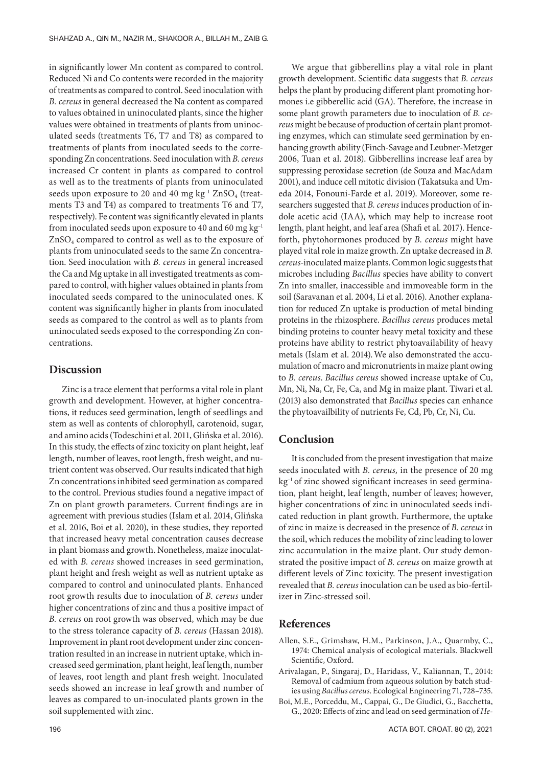in significantly lower Mn content as compared to control. Reduced Ni and Co contents were recorded in the majority of treatments as compared to control. Seed inoculation with *B. cereus* in general decreased the Na content as compared to values obtained in uninoculated plants, since the higher values were obtained in treatments of plants from uninoculated seeds (treatments T6, T7 and T8) as compared to treatments of plants from inoculated seeds to the corresponding Zn concentrations. Seed inoculation with *B. cereus* increased Cr content in plants as compared to control as well as to the treatments of plants from uninoculated seeds upon exposure to 20 and 40 mg  $kg^{-1} ZnSO_4$  (treatments T3 and T4) as compared to treatments T6 and T7, respectively). Fe content was significantly elevated in plants from inoculated seeds upon exposure to 40 and 60 mg  $kg^{-1}$  $ZnSO<sub>4</sub>$  compared to control as well as to the exposure of plants from uninoculated seeds to the same Zn concentration. Seed inoculation with *B. cereus* in general increased the Ca and Mg uptake in all investigated treatments as compared to control, with higher values obtained in plants from inoculated seeds compared to the uninoculated ones. K content was significantly higher in plants from inoculated seeds as compared to the control as well as to plants from uninoculated seeds exposed to the corresponding Zn concentrations.

## **Discussion**

Zinc is a trace element that performs a vital role in plant growth and development. However, at higher concentrations, it reduces seed germination, length of seedlings and stem as well as contents of chlorophyll, carotenoid, sugar, and amino acids (Todeschini et al. 2011, Glińska et al. 2016). In this study, the effects of zinc toxicity on plant height, leaf length, number of leaves, root length, fresh weight, and nutrient content was observed. Our results indicated that high Zn concentrations inhibited seed germination as compared to the control. Previous studies found a negative impact of Zn on plant growth parameters. Current findings are in agreement with previous studies (Islam et al. 2014, Glińska et al. 2016, Boi et al. 2020), in these studies, they reported that increased heavy metal concentration causes decrease in plant biomass and growth. Nonetheless, maize inoculated with *B. cereus* showed increases in seed germination, plant height and fresh weight as well as nutrient uptake as compared to control and uninoculated plants. Enhanced root growth results due to inoculation of *B. cereus* under higher concentrations of zinc and thus a positive impact of *B. cereus* on root growth was observed, which may be due to the stress tolerance capacity of *B. cereus* (Hassan 2018). Improvement in plant root development under zinc concentration resulted in an increase in nutrient uptake, which increased seed germination, plant height, leaf length, number of leaves, root length and plant fresh weight. Inoculated seeds showed an increase in leaf growth and number of leaves as compared to un-inoculated plants grown in the soil supplemented with zinc.

We argue that gibberellins play a vital role in plant growth development. Scientific data suggests that *B. cereus*  helps the plant by producing different plant promoting hormones i.e gibberellic acid (GA). Therefore, the increase in some plant growth parameters due to inoculation of *B. cereus* might be because of production of certain plant promoting enzymes, which can stimulate seed germination by enhancing growth ability (Finch-Savage and Leubner-Metzger 2006, Tuan et al. 2018). Gibberellins increase leaf area by suppressing peroxidase secretion (de Souza and MacAdam 2001), and induce cell mitotic division (Takatsuka and Umeda 2014, Fonouni-Farde et al. 2019). Moreover, some researchers suggested that *B. cereus* induces production of indole acetic acid (IAA), which may help to increase root length, plant height, and leaf area (Shafi et al. 2017). Henceforth, phytohormones produced by *B. cereus* might have played vital role in maize growth. Zn uptake decreased in *B. cereus-*inoculated maize plants. Common logic suggests that microbes including *Bacillus* species have ability to convert Zn into smaller, inaccessible and immoveable form in the soil (Saravanan et al. 2004, Li et al. 2016). Another explanation for reduced Zn uptake is production of metal binding proteins in the rhizosphere. *Bacillus cereus* produces metal binding proteins to counter heavy metal toxicity and these proteins have ability to restrict phytoavailability of heavy metals (Islam et al. 2014).We also demonstrated the accumulation of macro and micronutrients in maize plant owing to *B. cereus*. *Bacillus cereus* showed increase uptake of Cu, Mn, Ni, Na, Cr, Fe, Ca, and Mg in maize plant. Tiwari et al. (2013) also demonstrated that *Bacillus* species can enhance the phytoavailbility of nutrients Fe, Cd, Pb, Cr, Ni, Cu.

# **Conclusion**

It is concluded from the present investigation that maize seeds inoculated with *B. cereus,* in the presence of 20 mg kg–1 of zinc showed significant increases in seed germination, plant height, leaf length, number of leaves; however, higher concentrations of zinc in uninoculated seeds indicated reduction in plant growth. Furthermore, the uptake of zinc in maize is decreased in the presence of *B. cereus* in the soil, which reduces the mobility of zinc leading to lower zinc accumulation in the maize plant. Our study demonstrated the positive impact of *B. cereus* on maize growth at different levels of Zinc toxicity. The present investigation revealed that *B. cereus* inoculation can be used as bio-fertilizer in Zinc-stressed soil.

## **References**

- Allen, S.E., Grimshaw, H.M., Parkinson, J.A., Quarmby, C., 1974: Chemical analysis of ecological materials. Blackwell Scientific, Oxford.
- Arivalagan, P., Singaraj, D., Haridass, V., Kaliannan, T., 2014: Removal of cadmium from aqueous solution by batch studies using *Bacillus cereus*. Ecological Engineering 71, 728–735.
- Boi, M.E., Porceddu, M., Cappai, G., De Giudici, G., Bacchetta, G., 2020: Effects of zinc and lead on seed germination of *He-*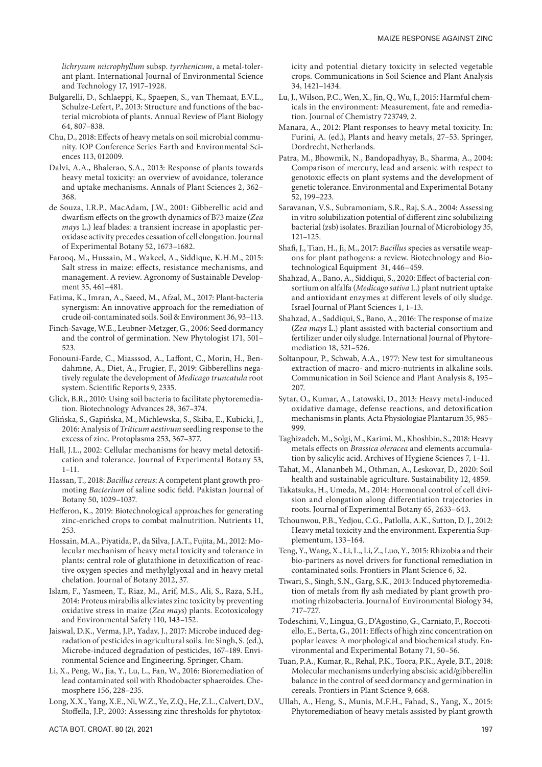*lichrysum microphyllum* subsp. *tyrrhenicum*, a metal-tolerant plant. International Journal of Environmental Science and Technology 17, 1917–1928.

- Bulgarelli, D., Schlaeppi, K., Spaepen, S., van Themaat, E.V.L., Schulze-Lefert, P., 2013: Structure and functions of the bacterial microbiota of plants. Annual Review of Plant Biology 64, 807–838.
- Chu, D., 2018: Effects of heavy metals on soil microbial community. IOP Conference Series Earth and Environmental Sciences 113, 012009.
- Dalvi, A.A., Bhalerao, S.A., 2013: Response of plants towards heavy metal toxicity: an overview of avoidance, tolerance and uptake mechanisms. Annals of Plant Sciences 2, 362– 368.
- de Souza, I.R.P., MacAdam, J.W., 2001: Gibberellic acid and dwarfism effects on the growth dynamics of B73 maize (*Zea mays* L.) leaf blades: a transient increase in apoplastic peroxidase activity precedes cessation of cell elongation. Journal of Experimental Botany 52, 1673–1682.
- Farooq, M., Hussain, M., Wakeel, A., Siddique, K.H.M., 2015: Salt stress in maize: effects, resistance mechanisms, and management. A review. Agronomy of Sustainable Development 35, 461–481.
- Fatima, K., Imran, A., Saeed, M., Afzal, M., 2017: Plant-bacteria synergism: An innovative approach for the remediation of crude oil-contaminated soils. Soil & Environment 36, 93–113.
- Finch-Savage, W.E., Leubner-Metzger, G., 2006: Seed dormancy and the control of germination. New Phytologist 171, 501– 523.
- Fonouni-Farde, C., Miasssod, A., Laffont, C., Morin, H., Bendahmne, A., Diet, A., Frugier, F., 2019: Gibberellins negatively regulate the development of *Medicago truncatula* root system. Scientific Reports 9, 2335.
- Glick, B.R., 2010: Using soil bacteria to facilitate phytoremediation. Biotechnology Advances 28, 367–374.
- Glińska, S., Gapińska, M., Michlewska, S., Skiba, E., Kubicki, J., 2016: Analysis of *Triticum aestivum* seedling response to the excess of zinc. Protoplasma 253, 367–377.
- Hall, J.L., 2002: Cellular mechanisms for heavy metal detoxification and tolerance. Journal of Experimental Botany 53, 1–11.
- Hassan, T., 2018: *Bacillus cereus*: A competent plant growth promoting *Bacterium* of saline sodic field. Pakistan Journal of Botany 50, 1029–1037.
- Hefferon, K., 2019: Biotechnological approaches for generating zinc-enriched crops to combat malnutrition. Nutrients 11, 253.
- Hossain, M.A., Piyatida, P., da Silva, J.A.T., Fujita, M., 2012: Molecular mechanism of heavy metal toxicity and tolerance in plants: central role of glutathione in detoxification of reactive oxygen species and methylglyoxal and in heavy metal chelation. Journal of Botany 2012, 37.
- Islam, F., Yasmeen, T., Riaz, M., Arif, M.S., Ali, S., Raza, S.H., 2014: Proteus mirabilis alleviates zinc toxicity by preventing oxidative stress in maize (*Zea mays*) plants. Ecotoxicology and Environmental Safety 110, 143–152.
- Jaiswal, D.K., Verma, J.P., Yadav, J., 2017: Microbe induced degradation of pesticides in agricultural soils. In: Singh, S. (ed.), Microbe-induced degradation of pesticides, 167–189. Environmental Science and Engineering. Springer, Cham.
- Li, X., Peng, W., Jia, Y., Lu, L., Fan, W., 2016: Bioremediation of lead contaminated soil with Rhodobacter sphaeroides. Chemosphere 156, 228–235.
- Long, X.X., Yang, X.E., Ni, W.Z., Ye, Z.Q., He, Z.L., Calvert, D.V., Stoffella, J.P., 2003: Assessing zinc thresholds for phytotox-

icity and potential dietary toxicity in selected vegetable crops. Communications in Soil Science and Plant Analysis 34, 1421–1434.

- Lu, J., Wilson, P.C., Wen, X., Jin, Q., Wu, J., 2015: Harmful chemicals in the environment: Measurement, fate and remediation. Journal of Chemistry 723749, 2.
- Manara, A., 2012: Plant responses to heavy metal toxicity. In: Furini, A. (ed.), Plants and heavy metals, 27–53. Springer, Dordrecht, Netherlands.
- Patra, M., Bhowmik, N., Bandopadhyay, B., Sharma, A., 2004: Comparison of mercury, lead and arsenic with respect to genotoxic effects on plant systems and the development of genetic tolerance. Environmental and Experimental Botany 52, 199–223.
- Saravanan, V.S., Subramoniam, S.R., Raj, S.A., 2004: Assessing in vitro solubilization potential of different zinc solubilizing bacterial (zsb) isolates. Brazilian Journal of Microbiology 35, 121–125.
- Shafi, J., Tian, H., Ji, M., 2017: *Bacillus* species as versatile weapons for plant pathogens: a review. Biotechnology and Biotechnological Equipment 31, 446–459.
- Shahzad, A., Bano, A., Siddiqui, S., 2020: Effect of bacterial consortium on alfalfa (*Medicago sativa* L.) plant nutrient uptake and antioxidant enzymes at different levels of oily sludge. Israel Journal of Plant Sciences 1, 1–13.
- Shahzad, A., Saddiqui, S., Bano, A., 2016: The response of maize (*Zea mays* L.) plant assisted with bacterial consortium and fertilizer under oily sludge. International Journal of Phytoremediation 18, 521–526.
- Soltanpour, P., Schwab, A.A., 1977: New test for simultaneous extraction of macro- and micro-nutrients in alkaline soils. Communication in Soil Science and Plant Analysis 8, 195– 207.
- Sytar, O., Kumar, A., Latowski, D., 2013: Heavy metal-induced oxidative damage, defense reactions, and detoxification mechanisms in plants. Acta Physiologiae Plantarum 35, 985– 999.
- Taghizadeh, M., Solgi, M., Karimi, M., Khoshbin, S., 2018: Heavy metals effects on *Brassica oleracea* and elements accumulation by salicylic acid. Archives of Hygiene Sciences 7, 1–11.
- Tahat, M., Alananbeh M., Othman, A., Leskovar, D., 2020: Soil health and sustainable agriculture. Sustainability 12, 4859.
- Takatsuka, H., Umeda, M., 2014: Hormonal control of cell division and elongation along differentiation trajectories in roots. Journal of Experimental Botany 65, 2633–643.
- Tchounwou, P.B., Yedjou, C.G., Patlolla, A.K., Sutton, D. J., 2012: Heavy metal toxicity and the environment. Experentia Supplementum, 133–164.
- Teng, Y., Wang, X., Li, L., Li, Z., Luo, Y., 2015: Rhizobia and their bio-partners as novel drivers for functional remediation in contaminated soils. Frontiers in Plant Science 6, 32.
- Tiwari, S., Singh, S.N., Garg, S.K., 2013: Induced phytoremediation of metals from fly ash mediated by plant growth promoting rhizobacteria. Journal of Environmental Biology 34, 717–727.
- Todeschini, V., Lingua, G., D'Agostino, G., Carniato, F., Roccotiello, E., Berta, G., 2011: Effects of high zinc concentration on poplar leaves: A morphological and biochemical study. Environmental and Experimental Botany 71, 50–56.
- Tuan, P.A., Kumar, R., Rehal, P.K., Toora, P.K., Ayele, B.T., 2018: Molecular mechanisms underlying abscisic acid/gibberellin balance in the control of seed dormancy and germination in cereals. Frontiers in Plant Science 9, 668.
- Ullah, A., Heng, S., Munis, M.F.H., Fahad, S., Yang, X., 2015: Phytoremediation of heavy metals assisted by plant growth